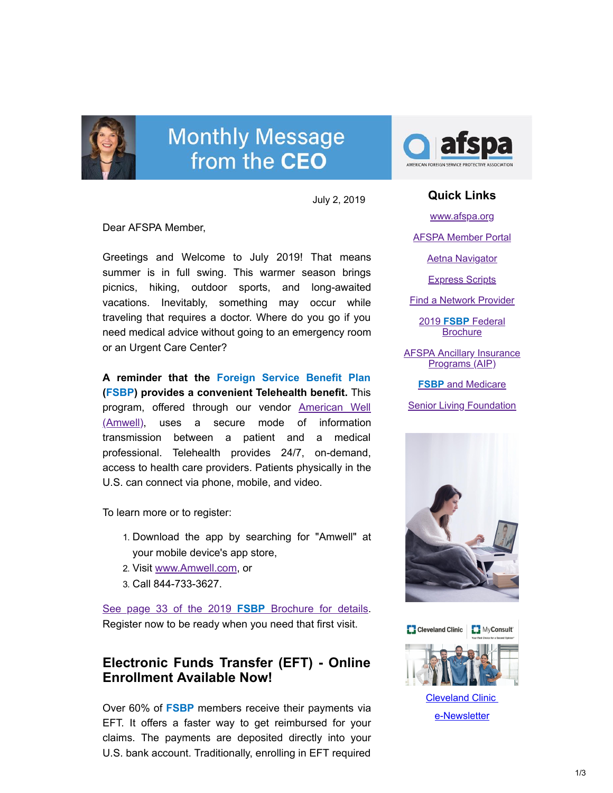

# **Monthly Message** from the CEO

July 2, 2019

Dear AFSPA Member,

Greetings and Welcome to July 2019! That means summer is in full swing. This warmer season brings picnics, hiking, outdoor sports, and long-awaited vacations. Inevitably, something may occur while traveling that requires a doctor. Where do you go if you need medical advice without going to an emergency room or an Urgent Care Center?

**A reminder that the Foreign Service Benefit Plan (FSBP) provides a convenient Telehealth benefit.** This program, offered through our vendor American Well [\(Amwell\), uses a secure mode of information](http://www.amwell.com/) transmission between a patient and a medical professional. Telehealth provides 24/7, on-demand, access to health care providers. Patients physically in the U.S. can connect via phone, mobile, and video.

To learn more or to register:

- 1. Download the app by searching for "Amwell" at your mobile device's app store,
- 2. Visit [www.Amwell.com,](http://www.amwell.com/) or
- 3. Call 844-733-3627.

[See page 33 of the 2019](https://www.afspa.org/filestoreAFSPA/2019RI72-001FSBPBrochure.pdf#page=35) **FSBP** Brochure for details. Register now to be ready when you need that first visit.

## **Electronic Funds Transfer (EFT) - Online Enrollment Available Now!**

Over 60% of **FSBP** members receive their payments via EFT. It offers a faster way to get reimbursed for your claims. The payments are deposited directly into your U.S. bank account. Traditionally, enrolling in EFT required



#### **Quick Links**

[www.afspa.org](http://www.afspa.org/)

[AFSPA Member Portal](https://secure.myafspa.org/)

[Aetna Navigator](http://aetnanavigator.com/)

[Express Scripts](https://www.express-scripts.com/consumer/site/openenrollment?accessCode=0285630FSBP0A)

[Find a Network Provider](http://www.afspa.org/fsbp/provider)

2019 **FSBP** Federal **[Brochure](https://www.afspa.org/filestoreAFSPA/2019RI72-001FSBPBrochure.pdf)** 

**[AFSPA Ancillary Insurance](https://www.afspa.org/aip_home.cfm)** Programs (AIP)

**FSBP** [and Medicare](https://www.afspa.org/filestoreAFSPA/2018MedicareBrochure.pdf)

**[Senior Living Foundation](http://slfoundation.org/)** 





[Cleveland Clinic](https://www.afspa.org/filestoreAFSPA/ClevelandClinic-SecondOpinionNewsletter-eFlyer-Jul2019-AFSPA.pdf)  e-Newsletter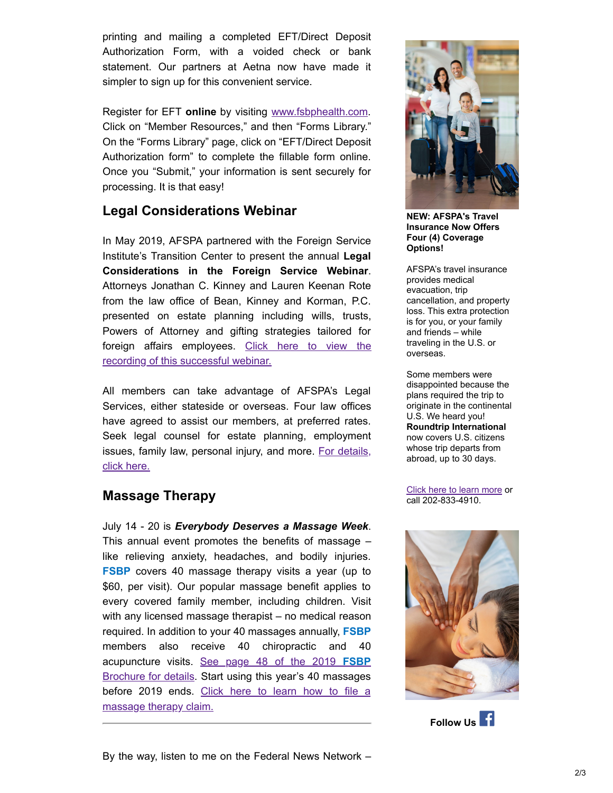printing and mailing a completed EFT/Direct Deposit Authorization Form, with a voided check or bank statement. Our partners at Aetna now have made it simpler to sign up for this convenient service.

Register for EFT **online** by visiting [www.fsbphealth.com](http://www.fsbphealth.com/). Click on "Member Resources," and then "Forms Library." On the "Forms Library" page, click on "EFT/Direct Deposit Authorization form" to complete the fillable form online. Once you "Submit," your information is sent securely for processing. It is that easy!

## **Legal Considerations Webinar**

In May 2019, AFSPA partnered with the Foreign Service Institute's Transition Center to present the annual **Legal Considerations in the Foreign Service Webinar**. Attorneys Jonathan C. Kinney and Lauren Keenan Rote from the law office of Bean, Kinney and Korman, P.C. presented on estate planning including wills, trusts, Powers of Attorney and gifting strategies tailored for [foreign affairs employees. Click here to view the](https://www.youtube.com/watch?v=YR-T6KvrW9U&feature=youtu.be) recording of this successful webinar.

All members can take advantage of AFSPA's Legal Services, either stateside or overseas. Four law offices have agreed to assist our members, at preferred rates. Seek legal counsel for estate planning, employment [issues, family law, personal injury, and more. For details,](https://www.afspa.org/aip_detail.cfm?page=Legal) click here.

### **Massage Therapy**

July 14 - 20 is *Everybody Deserves a Massage Week*. This annual event promotes the benefits of massage  $$ like relieving anxiety, headaches, and bodily injuries. **FSBP** covers 40 massage therapy visits a year (up to \$60, per visit). Our popular massage benefit applies to every covered family member, including children. Visit with any licensed massage therapist – no medical reason required. In addition to your 40 massages annually, **FSBP** members also receive 40 chiropractic and 40 acupuncture visits. See page 48 of the 2019 **FSBP** [Brochure for details. Start using this year's 40 massages](https://www.afspa.org/filestoreAFSPA/2019RI72-001FSBPBrochure.pdf#page=50) [before 2019 ends. Click here to learn how to file a](http://www.afspa.org/fsbp/massageclaims) massage therapy claim.



**NEW: AFSPA's Travel Insurance Now Offers Four (4) Coverage Options!**

AFSPA's travel insurance provides medical evacuation, trip cancellation, and property loss. This extra protection is for you, or your family and friends – while traveling in the U.S. or overseas.

Some members were disappointed because the plans required the trip to originate in the continental U.S. We heard you! **Roundtrip International** now covers U.S. citizens whose trip departs from abroad, up to 30 days.

[Click here to learn more](http://afspa.org/travel) or call 202-833-4910.



**Follow Us**